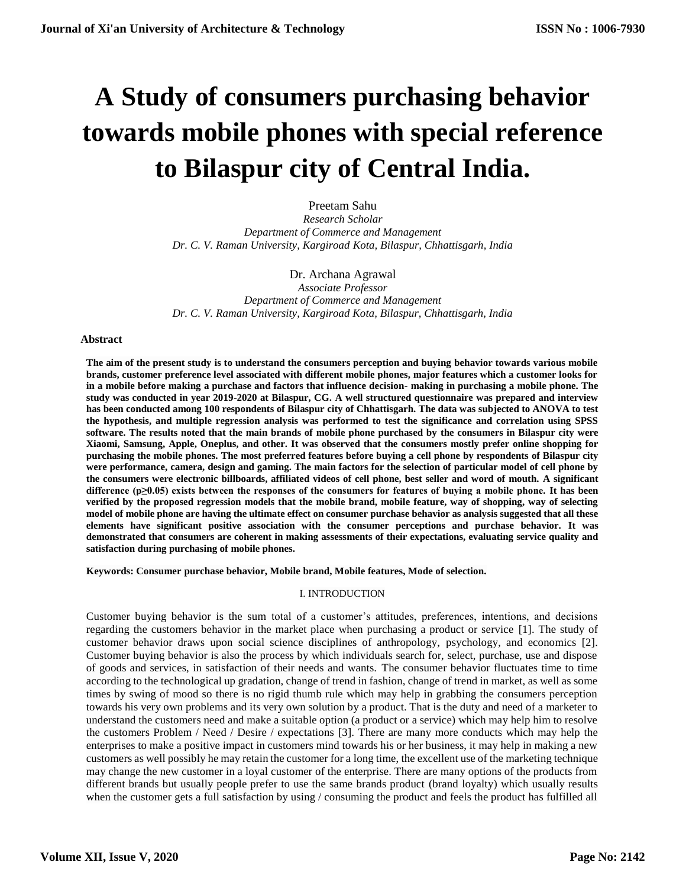# **A Study of consumers purchasing behavior towards mobile phones with special reference to Bilaspur city of Central India.**

Preetam Sahu *Research Scholar Department of Commerce and Management Dr. C. V. Raman University, Kargiroad Kota, Bilaspur, Chhattisgarh, India*

Dr. Archana Agrawal *Associate Professor Department of Commerce and Management Dr. C. V. Raman University, Kargiroad Kota, Bilaspur, Chhattisgarh, India*

#### **Abstract**

**The aim of the present study is to understand the consumers perception and buying behavior towards various mobile brands, customer preference level associated with different mobile phones, major features which a customer looks for in a mobile before making a purchase and factors that influence decision- making in purchasing a mobile phone. The study was conducted in year 2019-2020 at Bilaspur, CG. A well structured questionnaire was prepared and interview has been conducted among 100 respondents of Bilaspur city of Chhattisgarh. The data was subjected to ANOVA to test the hypothesis, and multiple regression analysis was performed to test the significance and correlation using SPSS software. The results noted that the main brands of mobile phone purchased by the consumers in Bilaspur city were Xiaomi, Samsung, Apple, Oneplus, and other. It was observed that the consumers mostly prefer online shopping for purchasing the mobile phones. The most preferred features before buying a cell phone by respondents of Bilaspur city were performance, camera, design and gaming. The main factors for the selection of particular model of cell phone by the consumers were electronic billboards, affiliated videos of cell phone, best seller and word of mouth. A significant difference (p≥0.05) exists between the responses of the consumers for features of buying a mobile phone. It has been verified by the proposed regression models that the mobile brand, mobile feature, way of shopping, way of selecting model of mobile phone are having the ultimate effect on consumer purchase behavior as analysis suggested that all these elements have significant positive association with the consumer perceptions and purchase behavior. It was demonstrated that consumers are coherent in making assessments of their expectations, evaluating service quality and satisfaction during purchasing of mobile phones.** 

**Keywords: Consumer purchase behavior, Mobile brand, Mobile features, Mode of selection.**

# I. INTRODUCTION

Customer buying behavior is the sum total of a customer's attitudes, preferences, intentions, and decisions regarding the customers behavior in the market place when purchasing a product or service [1]. The study of customer behavior draws upon social science disciplines of anthropology, psychology, and economics [2]. Customer buying behavior is also the process by which individuals search for, select, purchase, use and dispose of goods and services, in satisfaction of their needs and wants. The consumer behavior fluctuates time to time according to the technological up gradation, change of trend in fashion, change of trend in market, as well as some times by swing of mood so there is no rigid thumb rule which may help in grabbing the consumers perception towards his very own problems and its very own solution by a product. That is the duty and need of a marketer to understand the customers need and make a suitable option (a product or a service) which may help him to resolve the customers Problem / Need / Desire / expectations [3]. There are many more conducts which may help the enterprises to make a positive impact in customers mind towards his or her business, it may help in making a new customers as well possibly he may retain the customer for a long time, the excellent use of the marketing technique may change the new customer in a loyal customer of the enterprise. There are many options of the products from different brands but usually people prefer to use the same brands product (brand loyalty) which usually results when the customer gets a full satisfaction by using / consuming the product and feels the product has fulfilled all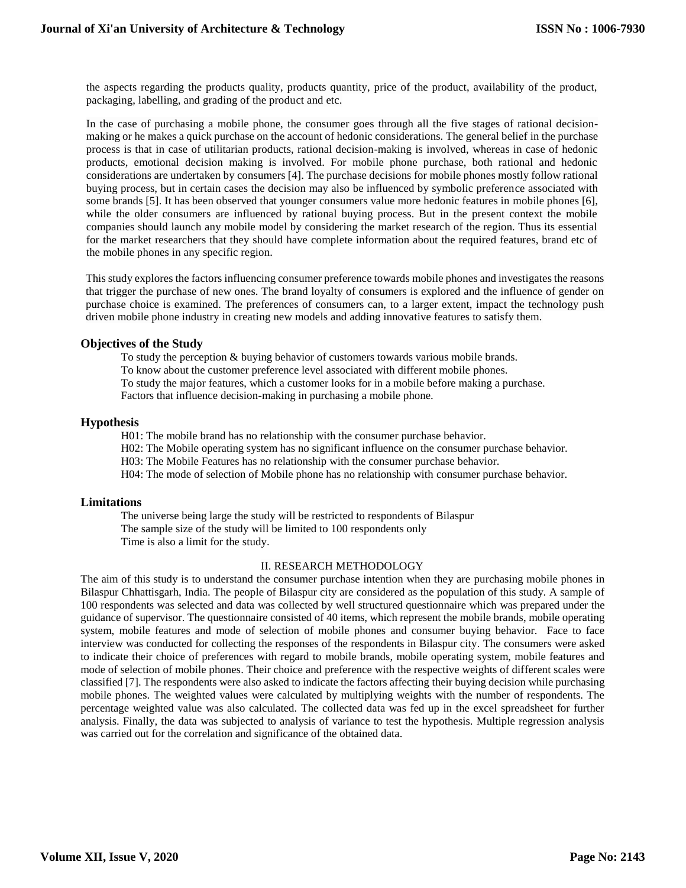the aspects regarding the products quality, products quantity, price of the product, availability of the product, packaging, labelling, and grading of the product and etc.

In the case of purchasing a mobile phone, the consumer goes through all the five stages of rational decisionmaking or he makes a quick purchase on the account of hedonic considerations. The general belief in the purchase process is that in case of utilitarian products, rational decision-making is involved, whereas in case of hedonic products, emotional decision making is involved. For mobile phone purchase, both rational and hedonic considerations are undertaken by consumers [4]. The purchase decisions for mobile phones mostly follow rational buying process, but in certain cases the decision may also be influenced by symbolic preference associated with some brands [5]. It has been observed that younger consumers value more hedonic features in mobile phones [6], while the older consumers are influenced by rational buying process. But in the present context the mobile companies should launch any mobile model by considering the market research of the region. Thus its essential for the market researchers that they should have complete information about the required features, brand etc of the mobile phones in any specific region.

This study explores the factors influencing consumer preference towards mobile phones and investigates the reasons that trigger the purchase of new ones. The brand loyalty of consumers is explored and the influence of gender on purchase choice is examined. The preferences of consumers can, to a larger extent, impact the technology push driven mobile phone industry in creating new models and adding innovative features to satisfy them.

## **Objectives of the Study**

To study the perception & buying behavior of customers towards various mobile brands. To know about the customer preference level associated with different mobile phones. To study the major features, which a customer looks for in a mobile before making a purchase. Factors that influence decision-making in purchasing a mobile phone.

## **Hypothesis**

H01: The mobile brand has no relationship with the consumer purchase behavior.

H02: The Mobile operating system has no significant influence on the consumer purchase behavior.

H03: The Mobile Features has no relationship with the consumer purchase behavior.

H04: The mode of selection of Mobile phone has no relationship with consumer purchase behavior.

# **Limitations**

The universe being large the study will be restricted to respondents of Bilaspur The sample size of the study will be limited to 100 respondents only Time is also a limit for the study.

#### II. RESEARCH METHODOLOGY

The aim of this study is to understand the consumer purchase intention when they are purchasing mobile phones in Bilaspur Chhattisgarh, India. The people of Bilaspur city are considered as the population of this study. A sample of 100 respondents was selected and data was collected by well structured questionnaire which was prepared under the guidance of supervisor. The questionnaire consisted of 40 items, which represent the mobile brands, mobile operating system, mobile features and mode of selection of mobile phones and consumer buying behavior. Face to face interview was conducted for collecting the responses of the respondents in Bilaspur city. The consumers were asked to indicate their choice of preferences with regard to mobile brands, mobile operating system, mobile features and mode of selection of mobile phones. Their choice and preference with the respective weights of different scales were classified [7]. The respondents were also asked to indicate the factors affecting their buying decision while purchasing mobile phones. The weighted values were calculated by multiplying weights with the number of respondents. The percentage weighted value was also calculated. The collected data was fed up in the excel spreadsheet for further analysis. Finally, the data was subjected to analysis of variance to test the hypothesis. Multiple regression analysis was carried out for the correlation and significance of the obtained data.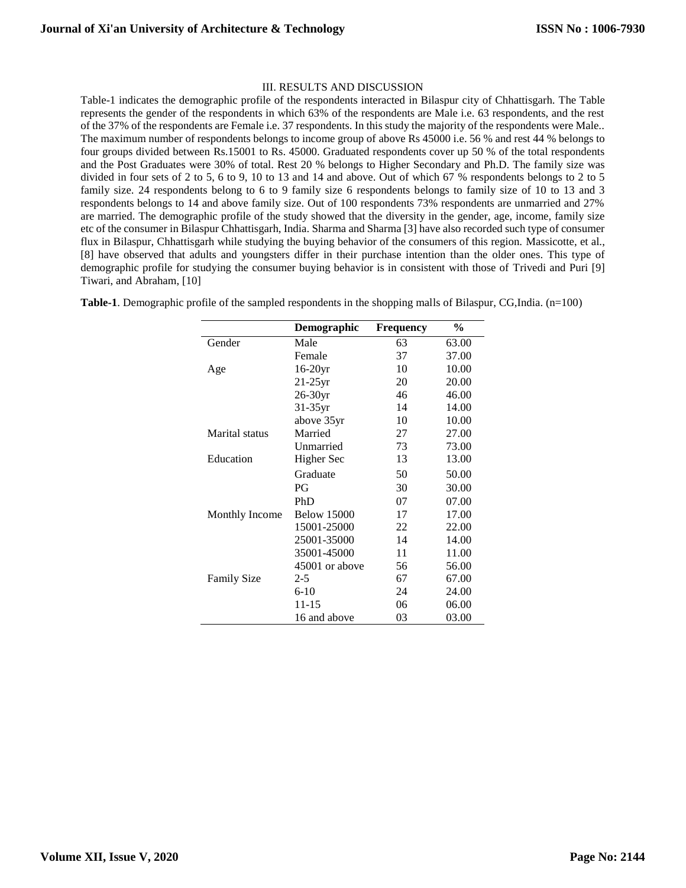# III. RESULTS AND DISCUSSION

Table-1 indicates the demographic profile of the respondents interacted in Bilaspur city of Chhattisgarh. The Table represents the gender of the respondents in which 63% of the respondents are Male i.e. 63 respondents, and the rest of the 37% of the respondents are Female i.e. 37 respondents. In this study the majority of the respondents were Male.. The maximum number of respondents belongs to income group of above Rs 45000 i.e. 56 % and rest 44 % belongs to four groups divided between Rs.15001 to Rs. 45000. Graduated respondents cover up 50 % of the total respondents and the Post Graduates were 30% of total. Rest 20 % belongs to Higher Secondary and Ph.D. The family size was divided in four sets of 2 to 5, 6 to 9, 10 to 13 and 14 and above. Out of which 67 % respondents belongs to 2 to 5 family size. 24 respondents belong to 6 to 9 family size 6 respondents belongs to family size of 10 to 13 and 3 respondents belongs to 14 and above family size. Out of 100 respondents 73% respondents are unmarried and 27% are married. The demographic profile of the study showed that the diversity in the gender, age, income, family size etc of the consumer in Bilaspur Chhattisgarh, India. Sharma and Sharma [3] have also recorded such type of consumer flux in Bilaspur, Chhattisgarh while studying the buying behavior of the consumers of this region. Massicotte, et al., [8] have observed that adults and youngsters differ in their purchase intention than the older ones. This type of demographic profile for studying the consumer buying behavior is in consistent with those of Trivedi and Puri [9] Tiwari, and Abraham, [10]

|                       | Demographic        | Frequency | $\frac{0}{0}$ |
|-----------------------|--------------------|-----------|---------------|
| Gender                | Male               | 63        | 63.00         |
|                       | Female             | 37        | 37.00         |
| Age                   | $16-20yr$          | 10        | 10.00         |
|                       | $21-25yr$          | 20        | 20.00         |
|                       | $26-30yr$          | 46        | 46.00         |
|                       | $31-35$ yr         | 14        | 14.00         |
|                       | above 35yr         | 10        | 10.00         |
| <b>Marital</b> status | Married            | 27        | 27.00         |
|                       | <b>Unmarried</b>   | 73        | 73.00         |
| Education             | Higher Sec         | 13        | 13.00         |
|                       | Graduate           | 50        | 50.00         |
|                       | PG                 | 30        | 30.00         |
|                       | PhD                | 07        | 07.00         |
| Monthly Income        | <b>Below 15000</b> | 17        | 17.00         |
|                       | 15001-25000        | 22        | 22.00         |
|                       | 25001-35000        | 14        | 14.00         |
|                       | 35001-45000        | 11        | 11.00         |
|                       | 45001 or above     | 56        | 56.00         |
| <b>Family Size</b>    | $2 - 5$            | 67        | 67.00         |
|                       | $6-10$             | 24        | 24.00         |
|                       | 11-15              | 06        | 06.00         |
|                       | 16 and above       | 03        | 03.00         |

**Table-1**. Demographic profile of the sampled respondents in the shopping malls of Bilaspur, CG,India. (n=100)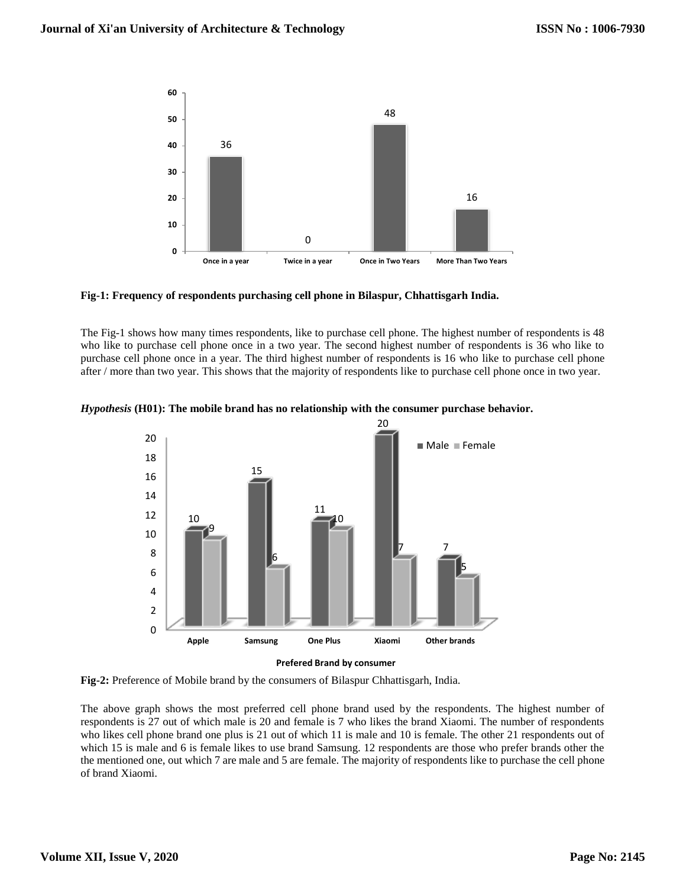

**Fig-1: Frequency of respondents purchasing cell phone in Bilaspur, Chhattisgarh India.**

The Fig-1 shows how many times respondents, like to purchase cell phone. The highest number of respondents is 48 who like to purchase cell phone once in a two year. The second highest number of respondents is 36 who like to purchase cell phone once in a year. The third highest number of respondents is 16 who like to purchase cell phone after / more than two year. This shows that the majority of respondents like to purchase cell phone once in two year.



*Hypothesis* **(H01): The mobile brand has no relationship with the consumer purchase behavior.**

**Prefered Brand by consumer**

**Fig-2:** Preference of Mobile brand by the consumers of Bilaspur Chhattisgarh, India.

The above graph shows the most preferred cell phone brand used by the respondents. The highest number of respondents is 27 out of which male is 20 and female is 7 who likes the brand Xiaomi. The number of respondents who likes cell phone brand one plus is 21 out of which 11 is male and 10 is female. The other 21 respondents out of which 15 is male and 6 is female likes to use brand Samsung. 12 respondents are those who prefer brands other the the mentioned one, out which 7 are male and 5 are female. The majority of respondents like to purchase the cell phone of brand Xiaomi.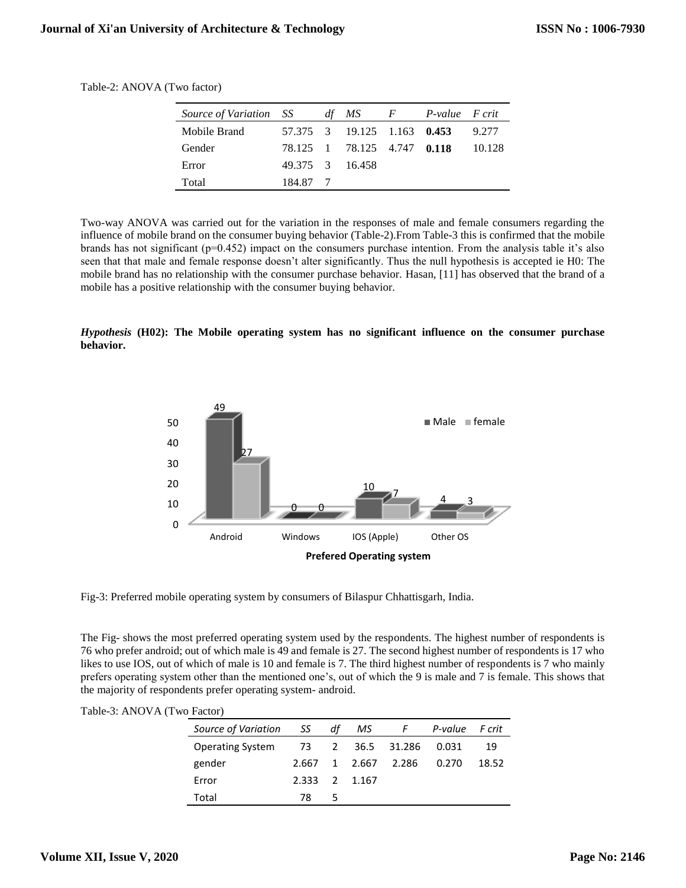| Source of Variation SS |          | dt MS                       | $F$ and $F$ | P-value F crit |        |
|------------------------|----------|-----------------------------|-------------|----------------|--------|
| Mobile Brand           |          | 57.375 3 19.125 1.163 0.453 |             |                | 9.277  |
| Gender                 |          | 78.125 1 78.125 4.747 0.118 |             |                | 10.128 |
| Error                  |          | 49.375 3 16.458             |             |                |        |
| Total                  | 184.87 7 |                             |             |                |        |

Table-2: ANOVA (Two factor)

Two-way ANOVA was carried out for the variation in the responses of male and female consumers regarding the influence of mobile brand on the consumer buying behavior (Table-2).From Table-3 this is confirmed that the mobile brands has not significant (p=0.452) impact on the consumers purchase intention. From the analysis table it's also seen that that male and female response doesn't alter significantly. Thus the null hypothesis is accepted ie H0: The mobile brand has no relationship with the consumer purchase behavior. Hasan, [11] has observed that the brand of a mobile has a positive relationship with the consumer buying behavior.

*Hypothesis* **(H02): The Mobile operating system has no significant influence on the consumer purchase behavior.**



Fig-3: Preferred mobile operating system by consumers of Bilaspur Chhattisgarh, India.

The Fig- shows the most preferred operating system used by the respondents. The highest number of respondents is 76 who prefer android; out of which male is 49 and female is 27. The second highest number of respondents is 17 who likes to use IOS, out of which of male is 10 and female is 7. The third highest number of respondents is 7 who mainly prefers operating system other than the mentioned one's, out of which the 9 is male and 7 is female. This shows that the majority of respondents prefer operating system- android.

| $\sim$ 1 actor)         |       |    |         |                  |         |        |
|-------------------------|-------|----|---------|------------------|---------|--------|
| Source of Variation     | SS S  | df | MS.     | F                | P-value | F crit |
| <b>Operating System</b> |       |    |         | 73 2 36.5 31.286 | 0.031   | 19     |
| gender                  | 2.667 |    | 1 2.667 | 2.286            | 0.270   | 18.52  |
| Error                   | 2.333 |    | 2 1.167 |                  |         |        |
| Total                   | 78    | 5  |         |                  |         |        |

| Table-3: ANOVA (Two Factor) |  |  |
|-----------------------------|--|--|
|                             |  |  |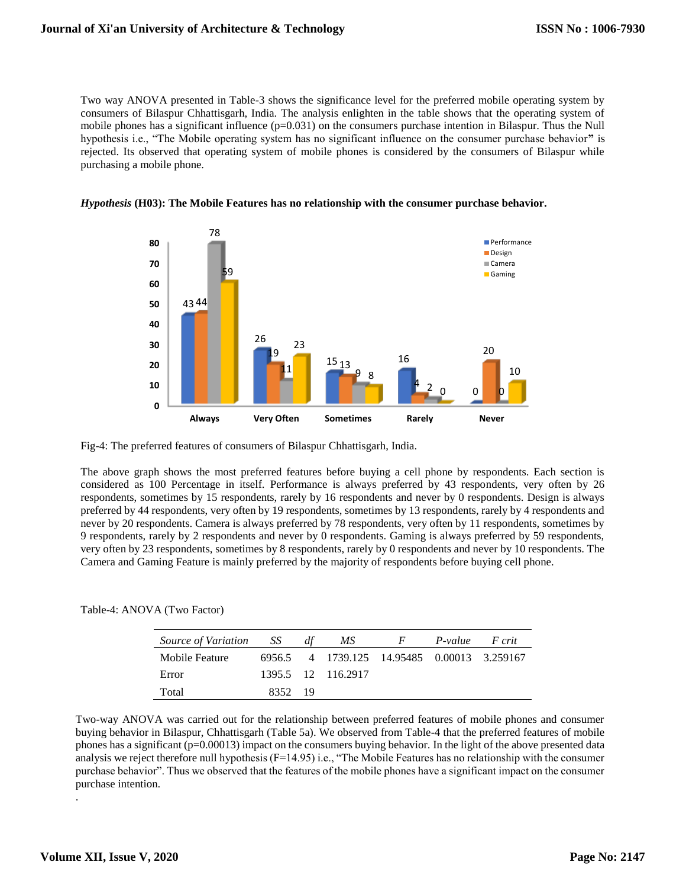Two way ANOVA presented in Table-3 shows the significance level for the preferred mobile operating system by consumers of Bilaspur Chhattisgarh, India. The analysis enlighten in the table shows that the operating system of mobile phones has a significant influence (p=0.031) on the consumers purchase intention in Bilaspur. Thus the Null hypothesis i.e., "The Mobile operating system has no significant influence on the consumer purchase behavior**"** is rejected. Its observed that operating system of mobile phones is considered by the consumers of Bilaspur while purchasing a mobile phone.





Fig-4: The preferred features of consumers of Bilaspur Chhattisgarh, India.

The above graph shows the most preferred features before buying a cell phone by respondents. Each section is considered as 100 Percentage in itself. Performance is always preferred by 43 respondents, very often by 26 respondents, sometimes by 15 respondents, rarely by 16 respondents and never by 0 respondents. Design is always preferred by 44 respondents, very often by 19 respondents, sometimes by 13 respondents, rarely by 4 respondents and never by 20 respondents. Camera is always preferred by 78 respondents, very often by 11 respondents, sometimes by 9 respondents, rarely by 2 respondents and never by 0 respondents. Gaming is always preferred by 59 respondents, very often by 23 respondents, sometimes by 8 respondents, rarely by 0 respondents and never by 10 respondents. The Camera and Gaming Feature is mainly preferred by the majority of respondents before buying cell phone.

| Table-4: ANOVA (Two Factor) |  |
|-----------------------------|--|
|-----------------------------|--|

| Source of Variation SS |         | MS.                                         | F | P-value | F crit |
|------------------------|---------|---------------------------------------------|---|---------|--------|
| Mobile Feature         |         | 6956.5 4 1739.125 14.95485 0.00013 3.259167 |   |         |        |
| Error                  |         | 1395.5 12 116.2917                          |   |         |        |
| Total                  | 8352 19 |                                             |   |         |        |

Two-way ANOVA was carried out for the relationship between preferred features of mobile phones and consumer buying behavior in Bilaspur, Chhattisgarh (Table 5a). We observed from Table-4 that the preferred features of mobile phones has a significant (p=0.00013) impact on the consumers buying behavior. In the light of the above presented data analysis we reject therefore null hypothesis (F=14.95) i.e., "The Mobile Features has no relationship with the consumer purchase behavior". Thus we observed that the features of the mobile phones have a significant impact on the consumer purchase intention.

.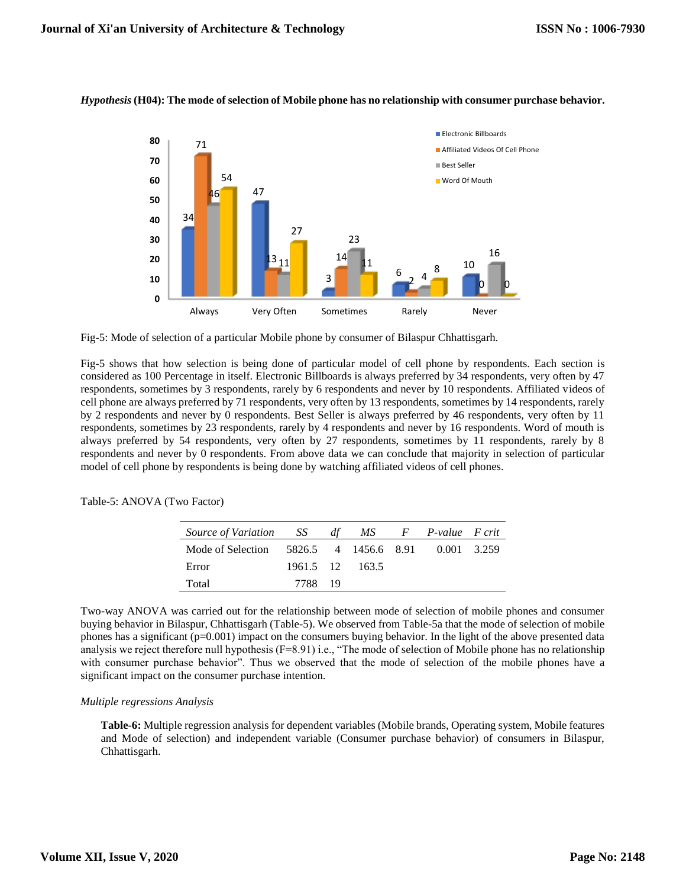

## *Hypothesis***(H04): The mode of selection of Mobile phone has no relationship with consumer purchase behavior.**

Fig-5: Mode of selection of a particular Mobile phone by consumer of Bilaspur Chhattisgarh.

Fig-5 shows that how selection is being done of particular model of cell phone by respondents. Each section is considered as 100 Percentage in itself. Electronic Billboards is always preferred by 34 respondents, very often by 47 respondents, sometimes by 3 respondents, rarely by 6 respondents and never by 10 respondents. Affiliated videos of cell phone are always preferred by 71 respondents, very often by 13 respondents, sometimes by 14 respondents, rarely by 2 respondents and never by 0 respondents. Best Seller is always preferred by 46 respondents, very often by 11 respondents, sometimes by 23 respondents, rarely by 4 respondents and never by 16 respondents. Word of mouth is always preferred by 54 respondents, very often by 27 respondents, sometimes by 11 respondents, rarely by 8 respondents and never by 0 respondents. From above data we can conclude that majority in selection of particular model of cell phone by respondents is being done by watching affiliated videos of cell phones.

| Source of Variation SS |         | df |                 | MS F P-value F crit              |  |
|------------------------|---------|----|-----------------|----------------------------------|--|
| Mode of Selection      |         |    |                 | 5826.5 4 1456.6 8.91 0.001 3.259 |  |
| Error                  |         |    | 1961.5 12 163.5 |                                  |  |
| Total                  | 7788 19 |    |                 |                                  |  |

Table-5: ANOVA (Two Factor)

Two-way ANOVA was carried out for the relationship between mode of selection of mobile phones and consumer buying behavior in Bilaspur, Chhattisgarh (Table-5). We observed from Table-5a that the mode of selection of mobile phones has a significant (p=0.001) impact on the consumers buying behavior. In the light of the above presented data analysis we reject therefore null hypothesis (F=8.91) i.e., "The mode of selection of Mobile phone has no relationship with consumer purchase behavior". Thus we observed that the mode of selection of the mobile phones have a significant impact on the consumer purchase intention.

#### *Multiple regressions Analysis*

**Table-6:** Multiple regression analysis for dependent variables (Mobile brands, Operating system, Mobile features and Mode of selection) and independent variable (Consumer purchase behavior) of consumers in Bilaspur, Chhattisgarh.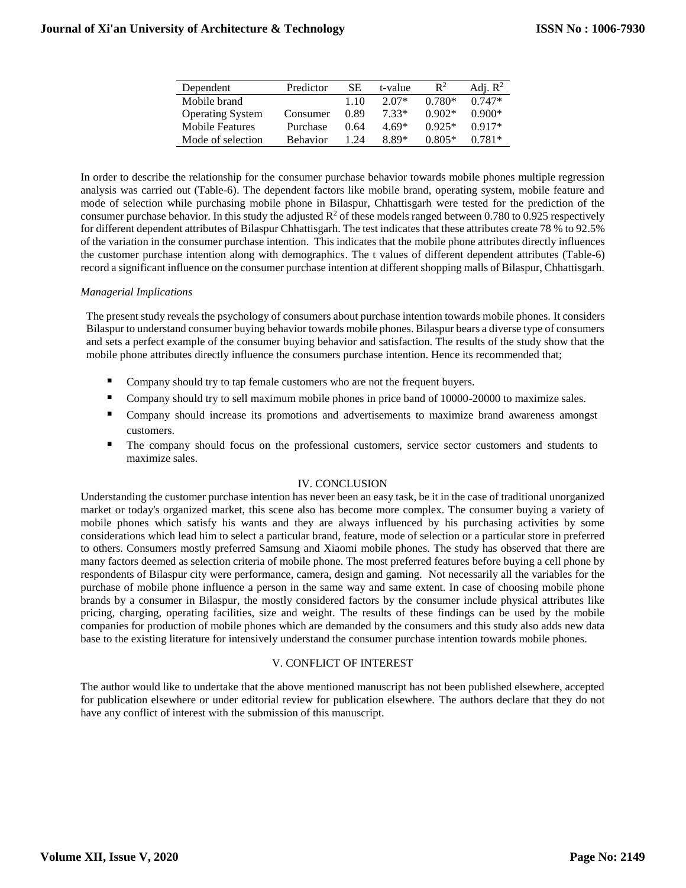| Dependent               | Predictor       | SE   | t-value | $\mathbb{R}^2$ | Adj. $R^2$ |
|-------------------------|-----------------|------|---------|----------------|------------|
| Mobile brand            |                 | 1.10 | $2.07*$ | $0.780*$       | $0.747*$   |
| <b>Operating System</b> | Consumer        | 0.89 | $7.33*$ | $0.902*$       | $0.900*$   |
| Mobile Features         | Purchase        | 0.64 | $4.69*$ | $0.925*$       | $0.917*$   |
| Mode of selection       | <b>Behavior</b> | 1 24 | $8.89*$ | $0.805*$       | $0.781*$   |

In order to describe the relationship for the consumer purchase behavior towards mobile phones multiple regression analysis was carried out (Table-6). The dependent factors like mobile brand, operating system, mobile feature and mode of selection while purchasing mobile phone in Bilaspur, Chhattisgarh were tested for the prediction of the consumer purchase behavior. In this study the adjusted  $R^2$  of these models ranged between 0.780 to 0.925 respectively for different dependent attributes of Bilaspur Chhattisgarh. The test indicates that these attributes create 78 % to 92.5% of the variation in the consumer purchase intention. This indicates that the mobile phone attributes directly influences the customer purchase intention along with demographics. The t values of different dependent attributes (Table-6) record a significant influence on the consumer purchase intention at different shopping malls of Bilaspur, Chhattisgarh.

#### *Managerial Implications*

The present study reveals the psychology of consumers about purchase intention towards mobile phones. It considers Bilaspur to understand consumer buying behavior towards mobile phones. Bilaspur bears a diverse type of consumers and sets a perfect example of the consumer buying behavior and satisfaction. The results of the study show that the mobile phone attributes directly influence the consumers purchase intention. Hence its recommended that;

- Company should try to tap female customers who are not the frequent buyers.
- Company should try to sell maximum mobile phones in price band of 10000-20000 to maximize sales.
- Company should increase its promotions and advertisements to maximize brand awareness amongst customers.
- The company should focus on the professional customers, service sector customers and students to maximize sales.

# IV. CONCLUSION

Understanding the customer purchase intention has never been an easy task, be it in the case of traditional unorganized market or today's organized market, this scene also has become more complex. The consumer buying a variety of mobile phones which satisfy his wants and they are always influenced by his purchasing activities by some considerations which lead him to select a particular brand, feature, mode of selection or a particular store in preferred to others. Consumers mostly preferred Samsung and Xiaomi mobile phones. The study has observed that there are many factors deemed as selection criteria of mobile phone. The most preferred features before buying a cell phone by respondents of Bilaspur city were performance, camera, design and gaming. Not necessarily all the variables for the purchase of mobile phone influence a person in the same way and same extent. In case of choosing mobile phone brands by a consumer in Bilaspur, the mostly considered factors by the consumer include physical attributes like pricing, charging, operating facilities, size and weight. The results of these findings can be used by the mobile companies for production of mobile phones which are demanded by the consumers and this study also adds new data base to the existing literature for intensively understand the consumer purchase intention towards mobile phones.

#### V. CONFLICT OF INTEREST

The author would like to undertake that the above mentioned manuscript has not been published elsewhere, accepted for publication elsewhere or under editorial review for publication elsewhere. The authors declare that they do not have any conflict of interest with the submission of this manuscript.